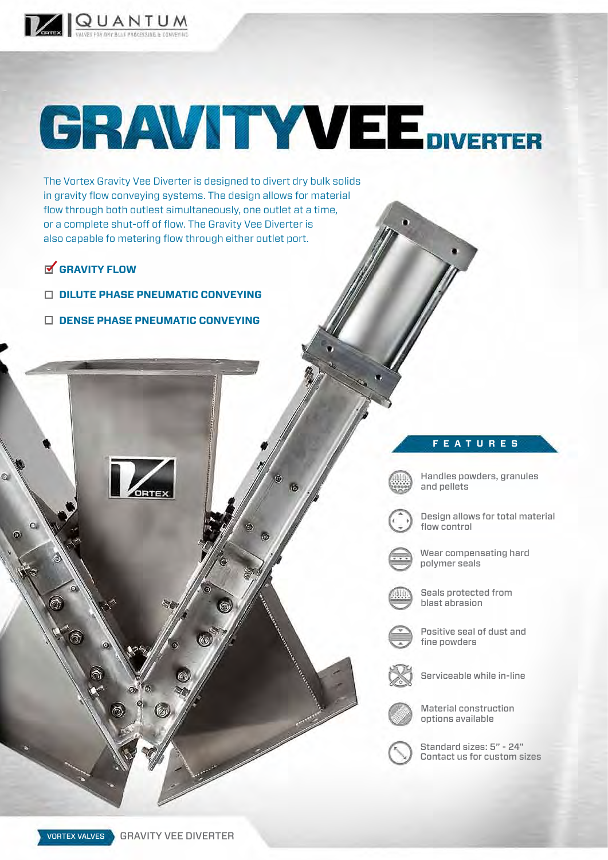

## **GRAVITY VEE DIVERTER**

The Vortex Gravity Vee Diverter is designed to divert dry bulk solids in gravity flow conveying systems. The design allows for material flow through both outlest simultaneously, one outlet at a time, or a complete shut-off of flow. The Gravity Vee Diverter is also capable fo metering flow through either outlet port.

## **GRAVITY FLOW**

 $\odot$ 

 $\Omega$ 

 $\widehat{\mathbb{C}}$ 

- **DILUTE PHASE PNEUMATIC CONVEYING**
- **DENSE PHASE PNEUMATIC CONVEYING**

## **FEATURES**



Handles powders, granules and pellets



Design allows for total material flow control



Wear compensating hard polymer seals



Seals protected from blast abrasion

Positive seal of dust and fine powders



Serviceable while in-line



Material construction options available

Standard sizes: 5" - 24" Contact us for custom sizes